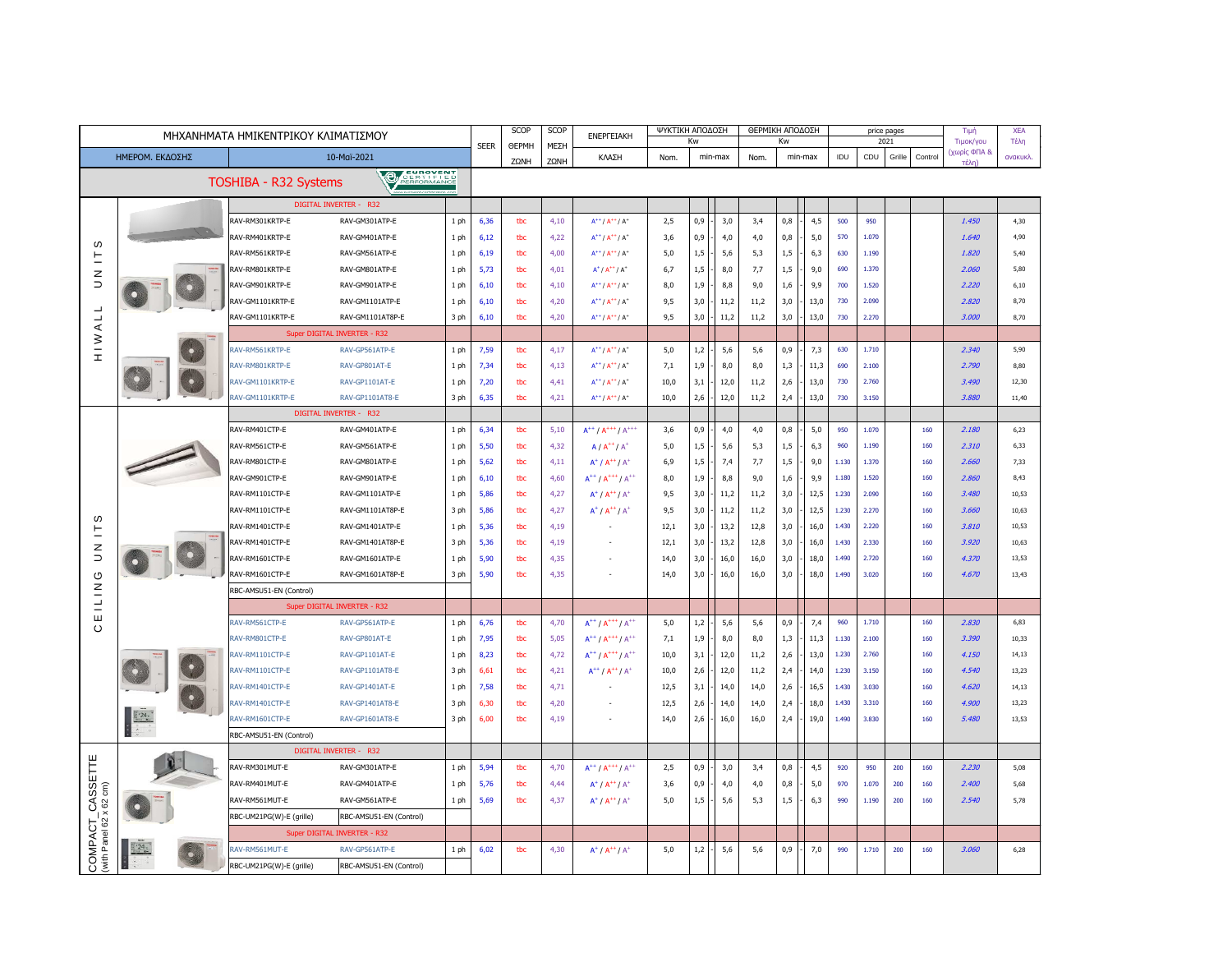| ΜΗΧΑΝΗΜΑΤΑ ΗΜΙΚΕΝΤΡΙΚΟΥ ΚΛΙΜΑΤΙΣΜΟΥ                                                           |                                                  |                                    |                                      |              |              | SCOP         | <b>SCOP</b>  | <b>ENEPFEIAKH</b>                                                                    | ΨΥΚΤΙΚΗ ΑΠΟΔΟΣΗ<br>Kw |            |              | ΘΕΡΜΙΚΗ ΑΠΟΔΟΣΗ<br>Kw |            |              |                |                   | price pages<br>2021 |              | Τιμή<br>Τιμοκ/γου | <b>XEA</b><br>Τέλη |
|-----------------------------------------------------------------------------------------------|--------------------------------------------------|------------------------------------|--------------------------------------|--------------|--------------|--------------|--------------|--------------------------------------------------------------------------------------|-----------------------|------------|--------------|-----------------------|------------|--------------|----------------|-------------------|---------------------|--------------|-------------------|--------------------|
| ΗΜΕΡΟΜ. ΕΚΔΟΣΗΣ<br>10-Maï-2021                                                                |                                                  |                                    |                                      |              | <b>SEER</b>  | <b>OEPMH</b> | ΜΕΣΗ         | ΚΛΑΣΗ                                                                                | Nom.<br>min-max       |            | Nom.         | min-max               |            | IDU          | CDU            | Grille<br>Control |                     | (χωρίς ΦΠΑ & | ανακυκλ           |                    |
|                                                                                               |                                                  |                                    | EUROVENT<br>CERTIFIED<br>PERFORMANCE |              |              | ZΩNH         | ZΩNH         |                                                                                      |                       |            |              |                       |            |              |                |                   |                     |              | τέλn)             |                    |
|                                                                                               |                                                  | TOSHIBA - R32 Systems              | <b>PA</b>                            |              |              |              |              |                                                                                      |                       |            |              |                       |            |              |                |                   |                     |              |                   |                    |
|                                                                                               |                                                  |                                    | DIGITAL INVERTER - R32               |              |              |              |              |                                                                                      |                       |            |              |                       |            |              |                |                   |                     |              |                   |                    |
|                                                                                               |                                                  | RAV-RM301KRTP-E                    | RAV-GM301ATP-E                       | 1 ph         | 6,36         | tbc          | 4,10         | $A^{++}/A^{++}/A^{+}$                                                                | 2,5                   | 0,9        | 3,0          | 3,4                   | 0,8        | 4,5          | 500            | 950               |                     |              | 1.450             | 4,30               |
| ഗ                                                                                             |                                                  | RAV-RM401KRTP-E                    | RAV-GM401ATP-E                       | 1 ph         | 6,12         | tbc          | 4,22         | $A^{++}/A^{++}/A^{+}$                                                                | 3,6                   | 0,9        | 4,0          | 4,0                   | 0,8        | 5,0          | 570            | 1.070             |                     |              | 1.640             | 4,90               |
| 트                                                                                             |                                                  | RAV-RM561KRTP-E                    | RAV-GM561ATP-E                       | 1 ph         | 6,19         | tbc          | 4,00         | $A^{++}/A^{++}/A^{+}$                                                                | 5,0                   | 1,5        | 5,6          | 5,3                   | 1,5        | 6,3          | 630            | 1.190             |                     |              | 1.820             | 5,40               |
| z                                                                                             |                                                  | RAV-RM801KRTP-E                    | RAV-GM801ATP-E                       | 1 ph         | 5,73         | tbc          | 4,01         | $A^{\dagger}$ / $A^{\dagger \dagger}$ / $A^{\dagger}$                                | 6,7                   | 1,5        | 8,0          | 7,7                   | 1,5        | 9,0          | 690            | 1.370             |                     |              | 2.060             | 5,80               |
| $\supset$                                                                                     |                                                  | RAV-GM901KRTP-E                    | RAV-GM901ATP-E                       | 1 ph         | 6,10         | tbc          | 4,10         | $A^{++}/A^{++}/A^{+}$                                                                | 8,0                   | 1,9        | 8,8          | 9,0                   | 1,6        | 9,9          | 700            | 1.520             |                     |              | 2.220             | 6,10               |
| $\overline{\phantom{a}}$                                                                      |                                                  | RAV-GM1101KRTP-E                   | RAV-GM1101ATP-E                      | 1 ph         | 6,10         | tbc          | 4,20         | $A^{++}/A^{++}/A^{+}$                                                                | 9,5                   | 3,0        | 11,2         | 11,2                  | 3,0        | 13,0         | 730            | 2.090             |                     |              | 2.820             | 8,70               |
| $\overline{\phantom{a}}$                                                                      |                                                  | RAV-GM1101KRTP-E                   | RAV-GM1101AT8P-E                     | 3 ph         | 6,10         | tbc          | 4,20         | $A^{++}/A^{++}/A^{+}$                                                                | 9,5                   | 3,0        | 11,2         | 11,2                  | 3,0        | 13,0         | 730            | 2.270             |                     |              | 3.000             | 8,70               |
| $\prec$                                                                                       |                                                  |                                    | Super DIGITAL INVERTER - R32         |              |              |              |              |                                                                                      |                       |            |              |                       |            |              |                |                   |                     |              |                   |                    |
| $\geq$<br>$\pm$                                                                               |                                                  | RAV-RM561KRTP-E                    | RAV-GP561ATP-E                       | 1 ph         | 7,59         | tbc          | 4,17         | $A^{++}/A^{++}/A^{+}$                                                                | 5,0                   | 1,2        | 5,6          | 5,6                   | 0,9        | 7,3          | 630            | 1.710             |                     |              | 2.340             | 5,90               |
|                                                                                               |                                                  | RAV-RM801KRTP-E                    | RAV-GP801AT-E                        | 1 ph         | 7,34         | tbc          | 4,13         | $A^{++}/A^{++}/A^{+}$                                                                | 7,1                   | 1,9        | 8,0          | 8,0                   | 1,3        | 11,3         | 690            | 2.100             |                     |              | 2.790             | 8,80               |
|                                                                                               |                                                  | RAV-GM1101KRTP-F                   | RAV-GP1101AT-E                       | 1 ph         | 7,20         | tbc          | 4,41         | $A^{++}/A^{++}/A^{+}$                                                                | 10,0                  | 3,1        | 12,0         | 11,2                  | 2,6        | 13,0         | 730            | 2.760             |                     |              | 3.490             | 12.30              |
|                                                                                               |                                                  | RAV-GM1101KRTP-E                   | RAV-GP1101AT8-E                      | 3 ph         | 6,35         | tbc          | 4,21         | $A^{++}/A^{++}/A^{+}$                                                                | 10,0                  | 2,6        | 12,0         | 11,2                  | 2,4        | 13,0         | 730            | 3.150             |                     |              | 3.880             | 11,40              |
|                                                                                               |                                                  |                                    | <b>DIGITAL INVERTER - R32</b>        |              |              |              |              |                                                                                      |                       |            |              |                       |            |              |                |                   |                     |              |                   |                    |
|                                                                                               |                                                  | RAV-RM401CTP-E                     | RAV-GM401ATP-E                       | 1 ph         | 6,34         | tbc          | 5,10         | $A^{++} / A^{+++} / A^{+++}$                                                         | 3,6                   | 0,9        | 4,0          | 4,0                   | 0,8        | 5,0          | 950            | 1.070             |                     | 160          | 2.180             | 6,23               |
|                                                                                               |                                                  | RAV-RM561CTP-E                     | RAV-GM561ATP-E                       | 1 ph         | 5,50         | tbc          | 4,32         | $A/A^{++}/A^+$                                                                       | 5,0                   | 1,5        | 5,6          | 5,3                   | 1,5        | 6,3          | 960            | 1.190             |                     | 160          | 2.310             | 6,33               |
|                                                                                               |                                                  | RAV-RM801CTP-E                     | RAV-GM801ATP-E                       | 1 ph         | 5,62         | tbc          | 4,11         | $A^{\dagger}$ / $A^{\dagger \dagger}$ / $A^{\dagger}$                                | 6,9                   | 1,5        | 7,4          | 7,7                   | 1,5        | 9,0          | 1.130          | 1.370             |                     | 160          | 2.660             | 7,33               |
|                                                                                               |                                                  | RAV-GM901CTP-E                     | RAV-GM901ATP-E                       | 1 ph         | 6,10         | tbc          | 4,60         | $A^{++}$ / $A^{+++}$ / $A^{++}$                                                      | 8,0                   | 1,9        | 8,8          | 9,0                   | 1,6        | 9,9          | 1.180          | 1.520             |                     | 160          | 2.860             | 8,43               |
|                                                                                               |                                                  | RAV-RM1101CTP-E                    | RAV-GM1101ATP-E                      | 1 ph         | 5,86         | tbc          | 4,27         | $A^+ / A^{++} / A^+$                                                                 | 9,5                   | 3,0        | 11,2         | 11,2                  | 3,0        | 12,5         | 1.230          | 2.090             |                     | 160          | 3.480             | 10,53              |
| w                                                                                             |                                                  | RAV-RM1101CTP-E                    | RAV-GM1101AT8P-E                     | 3 ph         | 5,86         | tbc          | 4,27         | $A^+ / A^{++} / A^+$                                                                 | 9,5                   | 3,0        | 11,2         | 11,2                  | 3,0        | 12,5         | 1.230          | 2.270             |                     | 160          | 3.660             | 10,63              |
| 트                                                                                             |                                                  | RAV-RM1401CTP-E                    | RAV-GM1401ATP-E                      | 1 ph         | 5,36         | tbc          | 4,19         |                                                                                      | 12,1                  | 3,0        | 13,2         | 12,8                  | 3,0        | 16,0         | 1.430          | 2.220             |                     | 160          | 3.810             | 10,53              |
| z                                                                                             |                                                  | RAV-RM1401CTP-E                    | RAV-GM1401AT8P-E                     | 3 ph         | 5,36         | the          | 4,19         |                                                                                      | 12,1                  | 3,0        | 13,2         | 12,8                  | 3,0        | 16,0         | 1.430          | 2.330             |                     | 160          | 3.920             | 10,63              |
| $\supset$                                                                                     |                                                  | RAV-RM1601CTP-E                    | RAV-GM1601ATP-E                      | 1 ph         | 5,90         | tbc          | 4,35         |                                                                                      | 14,0                  | 3,0        | 16,0         | 16,0                  | 3,0        | 18,0         | 1.490          | 2.720             |                     | 160          | 4.370             | 13,53              |
| O                                                                                             |                                                  | RAV-RM1601CTP-E                    | RAV-GM1601AT8P-E                     | 3 ph         | 5,90         | tbc          | 4,35         |                                                                                      | 14,0                  | 3,0        | 16,0         | 16,0                  | 3,0        | 18,0         | 1.490          | 3.020             |                     | 160          | 4.670             | 13,43              |
| $\frac{1}{2}$                                                                                 |                                                  | RBC-AMSU51-EN (Control)            |                                      |              |              |              |              |                                                                                      |                       |            |              |                       |            |              |                |                   |                     |              |                   |                    |
| Ш                                                                                             |                                                  |                                    | Super DIGITAL INVERTER - R32         |              |              |              |              |                                                                                      |                       |            |              |                       |            |              |                |                   |                     |              |                   |                    |
| $\circ$                                                                                       |                                                  | RAV-RM561CTP-E                     | RAV-GP561ATP-E                       | 1 ph         | 6,76         | the          | 4,70         | $A^{++} / A^{+++} / A^{++}$                                                          | 5,0                   | 1,2        | 5,6          | 5,6                   | 0,9        | 7,4          | 960            | 1.710             |                     | 160          | 2.830             | 6,83               |
|                                                                                               |                                                  | RAV-RM801CTP-E                     | RAV-GP801AT-E                        | 1 ph         | 7,95         | tbc          | 5,05         | $A^{++} / A^{+++} / A^{++}$                                                          | 7,1                   | 1,9        | 8,0          | 8,0                   | 1,3        | 11,3         | 1.130          | 2.100             |                     | 160          | 3.390             | 10,33              |
|                                                                                               |                                                  | RAV-RM1101CTP-E                    | RAV-GP1101AT-E                       | 1 ph         | 8,23         | tbc          | 4,72         | $A^{++}$ / $A^{+++}$ / $A^{++}$                                                      | 10,0                  | 3,1<br>2,6 | 12,0         | 11,2                  | 2,6        | 13,0         | 1.230<br>1.230 | 2.760<br>3.150    |                     | 160<br>160   | 4.150<br>4.540    | 14,13              |
|                                                                                               |                                                  | RAV-RM1101CTP-E<br>RAV-RM1401CTP-E | RAV-GP1101AT8-E<br>RAV-GP1401AT-E    | 3 ph         | 6,61<br>7,58 | tbc          | 4,21<br>4,71 | $A^{++}/A^{++}/A^{+}$                                                                | 10,0<br>12,5          | 3,1        | 12,0<br>14,0 | 11,2                  | 2,4<br>2,6 | 14,0         | 1.430          | 3.030             |                     | 160          | 4.620             | 13,23<br>14,13     |
|                                                                                               |                                                  | RAV-RM1401CTP-E                    | RAV-GP1401AT8-E                      | 1 ph         |              | tbc<br>tbc   |              |                                                                                      |                       |            |              | 14,0<br>14.0          |            | 16,5         | 1.430          | 3.310             |                     | 160          | 4.900             | 13.23              |
|                                                                                               |                                                  | RAV-RM1601CTP-E                    | RAV-GP1601AT8-E                      | 3 ph<br>3 ph | 6,30<br>6,00 | tbc          | 4,20<br>4,19 |                                                                                      | 12,5<br>14,0          | 2,6<br>2,6 | 14,0<br>16,0 | 16,0                  | 2,4<br>2,4 | 18,0<br>19,0 | 1.490          | 3.830             |                     | 160          | 5.480             | 13,53              |
|                                                                                               | $\begin{array}{ c c }\n\hline\n&24\n\end{array}$ | RBC-AMSU51-EN (Control)            |                                      |              |              |              |              |                                                                                      |                       |            |              |                       |            |              |                |                   |                     |              |                   |                    |
|                                                                                               |                                                  |                                    | DIGITAL INVERTER - R32               |              |              |              |              |                                                                                      |                       |            |              |                       |            |              |                |                   |                     |              |                   |                    |
|                                                                                               |                                                  | RAV-RM301MUT-E                     | RAV-GM301ATP-E                       | 1 ph         | 5,94         | tbc          | 4,70         |                                                                                      | 2,5                   | 0,9        | 3,0          | 3,4                   | 0,8        | 4,5          | 920            | 950               | 200                 | 160          | 2.230             | 5,08               |
| $\begin{array}{l} \begin{array}{l} \text{CASSETTE} \\ \text{x 62 cm} \end{array} \end{array}$ |                                                  | RAV-RM401MUT-E                     | RAV-GM401ATP-E                       | 1 ph         | 5,76         | tbc          | 4,44         | $A^{++} / A^{+++} / A^{++}$<br>$A^{\dagger}$ / $A^{\dagger \dagger}$ / $A^{\dagger}$ | 3,6                   | 0,9        | 4,0          | 4,0                   | 0,8        | 5,0          | 970            | 1.070             | 200                 | 160          | 2.400             | 5,68               |
|                                                                                               |                                                  | RAV-RM561MUT-E                     | RAV-GM561ATP-E                       | 1 ph         | 5,69         | tbc          | 4,37         | $A^+ / A^{++} / A^+$                                                                 | 5,0                   | 1,5        | 5,6          | 5,3                   | $1,5$      | 6,3          | 990            | 1.190             | 200                 | 160          | 2.540             | 5,78               |
|                                                                                               |                                                  |                                    | RBC-AMSU51-EN (Control)              |              |              |              |              |                                                                                      |                       |            |              |                       |            |              |                |                   |                     |              |                   |                    |
|                                                                                               |                                                  | RBC-UM21PG(W)-E (grille)           | Super DIGITAL INVERTER - R32         |              |              |              |              |                                                                                      |                       |            |              |                       |            |              |                |                   |                     |              |                   |                    |
| COMPACT<br>with Panel 62 >                                                                    | $^{2}$ 24 $^{\circ}$                             |                                    |                                      |              |              |              |              |                                                                                      |                       |            |              |                       |            |              |                |                   |                     |              |                   |                    |
|                                                                                               |                                                  | RAV-RM561MUT-E                     | RAV-GP561ATP-E                       | 1 ph         | 6,02         | tbc          | 4,30         | $A^{\dagger}$ / $A^{\dagger \dagger}$ / $A^{\dagger}$                                | 5,0                   | 1,2        | 5,6          | 5,6                   | 0,9        | 7,0          | 990            | 1.710             | 200                 | 160          | 3.060             | 6,28               |
|                                                                                               |                                                  | RBC-UM21PG(W)-E (grille)           | RBC-AMSU51-EN (Control)              |              |              |              |              |                                                                                      |                       |            |              |                       |            |              |                |                   |                     |              |                   |                    |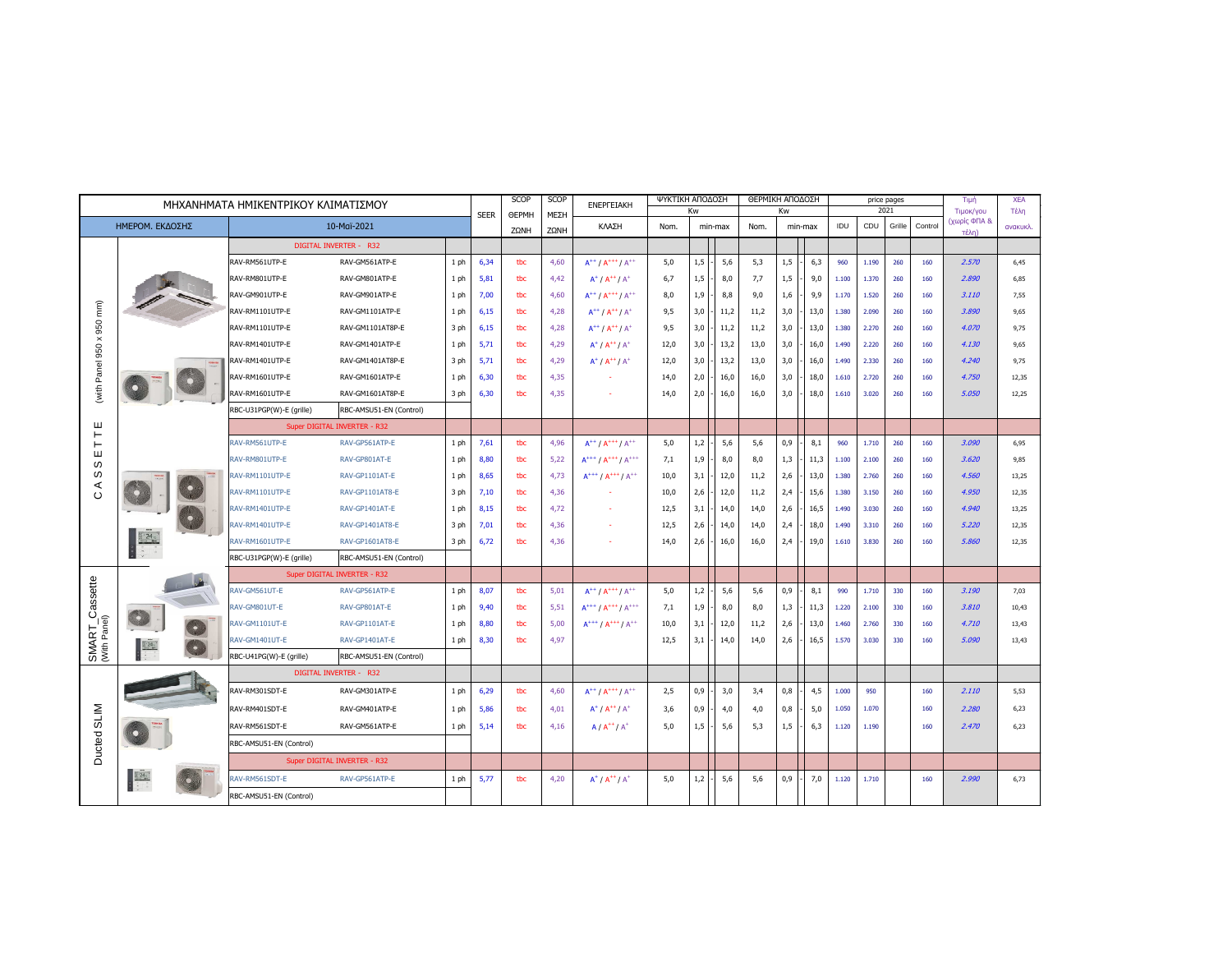| ΜΗΧΑΝΗΜΑΤΑ ΗΜΙΚΕΝΤΡΙΚΟΥ ΚΛΙΜΑΤΙΣΜΟΥ |                                                                                                                                                                                                                                                                                                                                                                                                                        |                          |                               |      |             | SCOP         | SCOP | <b>ENEPFEIAKH</b>                                     | ΨΥΚΤΙΚΗ ΑΠΟΔΟΣΗ<br>Kw |     |         | ΘΕΡΜΙΚΗ ΑΠΟΔΟΣΗ | Kw  |         |       |       | price pages<br>2021 |         | Tiun<br>Τιμοκ/γου | <b>XEA</b><br>Τέλη |
|-------------------------------------|------------------------------------------------------------------------------------------------------------------------------------------------------------------------------------------------------------------------------------------------------------------------------------------------------------------------------------------------------------------------------------------------------------------------|--------------------------|-------------------------------|------|-------------|--------------|------|-------------------------------------------------------|-----------------------|-----|---------|-----------------|-----|---------|-------|-------|---------------------|---------|-------------------|--------------------|
| ΗΜΕΡΟΜ. ΕΚΛΟΣΗΣ<br>10-Maï-2021      |                                                                                                                                                                                                                                                                                                                                                                                                                        |                          |                               |      | <b>SEER</b> | <b>OEPMH</b> | ΜΕΣΗ | ΚΛΑΣΗ                                                 | Nom.                  |     | min-max | Nom.            |     | min-max | IDU   | CDU   | Grille              | Control | (χωρίς ΦΠΑ &      | ανακυκλ.           |
|                                     |                                                                                                                                                                                                                                                                                                                                                                                                                        |                          |                               |      | ZΩNH        | ZΩNH         |      |                                                       |                       |     |         |                 |     |         |       |       |                     | τέλη)   |                   |                    |
|                                     |                                                                                                                                                                                                                                                                                                                                                                                                                        |                          | <b>DIGITAL INVERTER - R32</b> |      |             |              |      |                                                       |                       |     |         |                 |     |         |       |       |                     |         |                   |                    |
|                                     |                                                                                                                                                                                                                                                                                                                                                                                                                        | RAV-RM561UTP-E           | RAV-GM561ATP-E                | 1ph  | 6,34        | tbc          | 4,60 | $A^{++}$ / $A^{+++}$ / $A^{++}$                       | 5,0                   | 1,5 | 5,6     | 5,3             | 1,5 | 6,3     | 960   | 1.190 | 260                 | 160     | 2.570             | 6,45               |
| $\widehat{\mathsf{m}}$              |                                                                                                                                                                                                                                                                                                                                                                                                                        | RAV-RM801UTP-E           | RAV-GM801ATP-E                | 1 ph | 5,81        | tbc          | 4,42 | $A^{\dagger}$ / $A^{\dagger \dagger}$ / $A^{\dagger}$ | 6,7                   | 1,5 | 8,0     | 7,7             | 1,5 | 9,0     | 1.100 | 1.370 | 260                 | 160     | 2.890             | 6,85               |
|                                     |                                                                                                                                                                                                                                                                                                                                                                                                                        | RAV-GM901UTP-E           | RAV-GM901ATP-E                | 1 ph | 7,00        | tbc          | 4,60 | $A^{++}$ / $A^{+++}$ / $A^{++}$                       | 8,0                   | 1,9 | 8,8     | 9,0             | 1,6 | 9,9     | 1.170 | 1.520 | 260                 | 160     | 3.110             | 7,55               |
|                                     |                                                                                                                                                                                                                                                                                                                                                                                                                        | RAV-RM1101UTP-E          | RAV-GM1101ATP-E               | 1 ph | 6,15        | tbc          | 4,28 | $A^{++}/A^{++}/A^{+}$                                 | 9,5                   | 3,0 | 11,2    | 11,2            | 3,0 | 13,0    | 1.380 | 2.090 | 260                 | 160     | 3.890             | 9,65               |
| 950<br>$\pmb{\times}$               |                                                                                                                                                                                                                                                                                                                                                                                                                        | RAV-RM1101UTP-E          | RAV-GM1101AT8P-E              | 3 ph | 6,15        | tbc          | 4,28 | $A^{++}$ / $A^{++}$ / $A^+$                           | 9,5                   | 3,0 | 11,2    | 11,2            | 3,0 | 13,0    | 1.380 | 2.270 | 260                 | 160     | 4.070             | 9,75               |
| 950                                 |                                                                                                                                                                                                                                                                                                                                                                                                                        | RAV-RM1401UTP-E          | RAV-GM1401ATP-E               | 1 ph | 5,71        | tbc          | 4,29 | $A^{\dagger}$ / $A^{\dagger \dagger}$ / $A^{\dagger}$ | 12,0                  | 3,0 | 13,2    | 13,0            | 3,0 | 16,0    | 1.490 | 2.220 | 260                 | 160     | 4.130             | 9,65               |
|                                     |                                                                                                                                                                                                                                                                                                                                                                                                                        | RAV-RM1401UTP-E          | RAV-GM1401AT8P-E              | 3 ph | 5,71        | tbc          | 4,29 | $A^{\dagger}$ / $A^{\dagger \dagger}$ / $A^{\dagger}$ | 12,0                  | 3,0 | 13,2    | 13,0            | 3,0 | 16,0    | 1.490 | 2.330 | 260                 | 160     | 4.240             | 9,75               |
| (with Panel                         |                                                                                                                                                                                                                                                                                                                                                                                                                        | RAV-RM1601UTP-E          | RAV-GM1601ATP-E               | 1 ph | 6,30        | tbc          | 4,35 |                                                       | 14,0                  | 2,0 | 16,0    | 16,0            | 3,0 | 18,0    | 1.610 | 2.720 | 260                 | 160     | 4.750             | 12,35              |
|                                     |                                                                                                                                                                                                                                                                                                                                                                                                                        | RAV-RM1601UTP-E          | RAV-GM1601AT8P-E              | 3 ph | 6,30        | tbc          | 4,35 |                                                       | 14,0                  | 2,0 | 16,0    | 16,0            | 3,0 | 18,0    | 1.610 | 3.020 | 260                 | 160     | 5.050             | 12,25              |
|                                     |                                                                                                                                                                                                                                                                                                                                                                                                                        | RBC-U31PGP(W)-E (grille) | RBC-AMSU51-EN (Control)       |      |             |              |      |                                                       |                       |     |         |                 |     |         |       |       |                     |         |                   |                    |
| ш<br>$\vdash$                       |                                                                                                                                                                                                                                                                                                                                                                                                                        |                          | Super DIGITAL INVERTER - R32  |      |             |              |      |                                                       |                       |     |         |                 |     |         |       |       |                     |         |                   |                    |
| ⊢<br>ш<br>w<br>w<br>⋖<br>$\circ$    |                                                                                                                                                                                                                                                                                                                                                                                                                        | RAV-RM561UTP-E           | RAV-GP561ATP-E                | 1 ph | 7,61        | tbc          | 4,96 | $A^{++}$ / $A^{+++}$ / $A^{++}$                       | 5,0                   | 1,2 | 5,6     | 5,6             | 0,9 | 8,1     | 960   | 1.710 | 260                 | 160     | 3.090             | 6,95               |
|                                     |                                                                                                                                                                                                                                                                                                                                                                                                                        | RAV-RM801UTP-E           | RAV-GP801AT-E                 | 1 ph | 8,80        | tbc          | 5,22 | $A^{+++}/A^{+++}/A^{+++}$                             | 7,1                   | 1,9 | 8,0     | 8,0             | 1,3 | 11,3    | 1.100 | 2.100 | 260                 | 160     | 3.620             | 9,85               |
|                                     |                                                                                                                                                                                                                                                                                                                                                                                                                        | RAV-RM1101UTP-E          | RAV-GP1101AT-E                | 1 ph | 8,65        | tbc          | 4,73 | $A^{+++}/A^{+++}/A^{++}$                              | 10,0                  | 3,1 | 12,0    | 11,2            | 2,6 | 13,0    | 1.380 | 2.760 | 260                 | 160     | 4.560             | 13,25              |
|                                     |                                                                                                                                                                                                                                                                                                                                                                                                                        | RAV-RM1101UTP-E          | RAV-GP1101AT8-E               | 3 ph | 7,10        | tbc          | 4,36 |                                                       | 10,0                  | 2,6 | 12,0    | 11,2            | 2,4 | 15,6    | 1.380 | 3.150 | 260                 | 160     | 4.950             | 12,35              |
|                                     |                                                                                                                                                                                                                                                                                                                                                                                                                        | RAV-RM1401UTP-E          | RAV-GP1401AT-E                | 1 ph | 8,15        | tbc          | 4,72 |                                                       | 12,5                  | 3,1 | 14,0    | 14,0            | 2,6 | 16,5    | 1.490 | 3.030 | 260                 | 160     | 4.940             | 13,25              |
|                                     |                                                                                                                                                                                                                                                                                                                                                                                                                        | RAV-RM1401UTP-E          | RAV-GP1401AT8-E               | 3 ph | 7,01        | tbc          | 4,36 |                                                       | 12,5                  | 2,6 | 14,0    | 14,0            | 2,4 | 18,0    | 1.490 | 3.310 | 260                 | 160     | 5.220             | 12,35              |
|                                     |                                                                                                                                                                                                                                                                                                                                                                                                                        | RAV-RM1601UTP-E          | RAV-GP1601AT8-E               | 3 ph | 6,72        | tbc          | 4,36 | ×.                                                    | 14,0                  | 2,6 | 16,0    | 16,0            | 2,4 | 19,0    | 1.610 | 3.830 | 260                 | 160     | 5.860             | 12,35              |
|                                     |                                                                                                                                                                                                                                                                                                                                                                                                                        | RBC-U31PGP(W)-E (grille) | RBC-AMSU51-EN (Control)       |      |             |              |      |                                                       |                       |     |         |                 |     |         |       |       |                     |         |                   |                    |
|                                     |                                                                                                                                                                                                                                                                                                                                                                                                                        |                          | Super DIGITAL INVERTER - R32  |      |             |              |      |                                                       |                       |     |         |                 |     |         |       |       |                     |         |                   |                    |
|                                     |                                                                                                                                                                                                                                                                                                                                                                                                                        | RAV-GM561UT-E            | RAV-GP561ATP-E                | 1 ph | 8,07        | tbc          | 5,01 | $A^{++} / A^{+++} / A^{++}$                           | 5,0                   | 1,2 | 5,6     | 5,6             | 0,9 | 8,1     | 990   | 1.710 | 330                 | 160     | 3.190             | 7,03               |
|                                     |                                                                                                                                                                                                                                                                                                                                                                                                                        | RAV-GM801UT-E            | RAV-GP801AT-E                 | 1 ph | 9,40        | tbc          | 5,51 | $A^{+++}/A^{+++}/A^{+++}$                             | 7,1                   | 1,9 | 8,0     | 8,0             | 1,3 | 11,3    | 1.220 | 2.100 | 330                 | 160     | 3.810             | 10,43              |
|                                     |                                                                                                                                                                                                                                                                                                                                                                                                                        | RAV-GM1101UT-E           | RAV-GP1101AT-E                | 1 ph | 8,80        | tbc          | 5,00 | $A^{+++}/A^{+++}/A^{++}$                              | 10,0                  | 3,1 | 12,0    | 11,2            | 2,6 | 13,0    | 1.460 | 2.760 | 330                 | 160     | 4.710             | 13,43              |
| SMART_Cassette<br>(With Panel)      | $\begin{array}{ c c }\n\hline\n242 \\ \hline\n\end{array}$<br>$\mathbf{S}$                                                                                                                                                                                                                                                                                                                                             | RAV-GM1401UT-E           | RAV-GP1401AT-E                | 1 ph | 8,30        | tbc          | 4,97 |                                                       | 12,5                  | 3,1 | 14,0    | 14,0            | 2,6 | 16,5    | 1.570 | 3.030 | 330                 | 160     | 5.090             | 13,43              |
|                                     |                                                                                                                                                                                                                                                                                                                                                                                                                        | RBC-U41PG(W)-E (grille)  | RBC-AMSU51-EN (Control)       |      |             |              |      |                                                       |                       |     |         |                 |     |         |       |       |                     |         |                   |                    |
|                                     |                                                                                                                                                                                                                                                                                                                                                                                                                        |                          | <b>DIGITAL INVERTER - R32</b> |      |             |              |      |                                                       |                       |     |         |                 |     |         |       |       |                     |         |                   |                    |
|                                     |                                                                                                                                                                                                                                                                                                                                                                                                                        | RAV-RM301SDT-E           | RAV-GM301ATP-E                | 1 ph | 6,29        | tbc          | 4,60 | $A^{++} / A^{+++} / A^{++}$                           | 2,5                   | 0,9 | 3,0     | 3,4             | 0,8 | 4,5     | 1.000 | 950   |                     | 160     | 2.110             | 5,53               |
|                                     |                                                                                                                                                                                                                                                                                                                                                                                                                        | RAV-RM401SDT-E           | RAV-GM401ATP-E                | 1 ph | 5,86        | tbc          | 4,01 | $A^+ / A^{++} / A^+$                                  | 3,6                   | 0,9 | 4,0     | 4,0             | 0,8 | 5,0     | 1.050 | 1.070 |                     | 160     | 2.280             | 6,23               |
|                                     | Ducted SLIM                                                                                                                                                                                                                                                                                                                                                                                                            | RAV-RM561SDT-E           | RAV-GM561ATP-E                | 1 ph | 5,14        | tbc          | 4,16 | $A/A^{++}/A^+$                                        | 5,0                   | 1,5 | 5,6     | 5,3             | 1,5 | 6,3     | 1.120 | 1.190 |                     | 160     | 2.470             | 6,23               |
|                                     |                                                                                                                                                                                                                                                                                                                                                                                                                        | RBC-AMSU51-EN (Control)  |                               |      |             |              |      |                                                       |                       |     |         |                 |     |         |       |       |                     |         |                   |                    |
|                                     |                                                                                                                                                                                                                                                                                                                                                                                                                        |                          | Super DIGITAL INVERTER - R32  |      |             |              |      |                                                       |                       |     |         |                 |     |         |       |       |                     |         |                   |                    |
|                                     | $\begin{array}{ c c } \hline \text{1} & \text{24} & \text{34} \\ \hline \text{24} & \text{48} & \text{58} \\ \hline \text{36} & \text{58} & \text{68} \\ \hline \text{47} & \text{58} & \text{68} \\ \hline \text{58} & \text{68} & \text{68} \\ \hline \text{69} & \text{68} & \text{68} \\ \hline \text{78} & \text{78} & \text{68} \\ \hline \text{89} & \text{89} & \text{68} \\ \hline \text{80} & \text{89} & \$ | RAV-RM561SDT-E           | RAV-GP561ATP-E                | 1 ph | 5,77        | tbc          | 4,20 | $A^+ / A^{++} / A^+$                                  | 5,0                   | 1,2 | 5,6     | 5,6             | 0,9 | 7,0     | 1.120 | 1.710 |                     | 160     | 2.990             | 6,73               |
|                                     |                                                                                                                                                                                                                                                                                                                                                                                                                        | RBC-AMSU51-EN (Control)  |                               |      |             |              |      |                                                       |                       |     |         |                 |     |         |       |       |                     |         |                   |                    |
|                                     |                                                                                                                                                                                                                                                                                                                                                                                                                        |                          |                               |      |             |              |      |                                                       |                       |     |         |                 |     |         |       |       |                     |         |                   |                    |